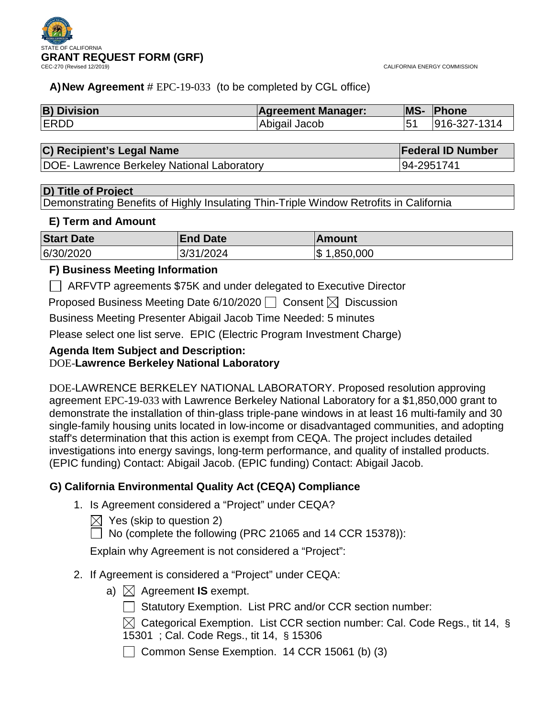

CALIFORNIA ENERGY COMMISSION

## **A)New Agreement** # EPC-19-033 (to be completed by CGL office)

| <b>B) Division</b> | <b>Agreement Manager:</b> | MS-         | <b>Phone</b> |
|--------------------|---------------------------|-------------|--------------|
| <b>ERDD</b>        | Abigail Jacob             | $ 5\rangle$ | 916-327-1314 |

| C) Recipient's Legal Name                  | <b>Federal ID Number</b> |
|--------------------------------------------|--------------------------|
| DOE- Lawrence Berkeley National Laboratory | 94-2951741               |

## **D) Title of Project**

Demonstrating Benefits of Highly Insulating Thin-Triple Window Retrofits in California

## **E) Term and Amount**

| <b>Start Date</b> | <b>End Date</b> | <b>Amount</b>    |
|-------------------|-----------------|------------------|
| 6/30/2020         | 3/31/2024       | Ι\$<br>1,850,000 |

# **F) Business Meeting Information**

ARFVTP agreements \$75K and under delegated to Executive Director

Proposed Business Meeting Date 6/10/2020  $\Box$  Consent  $\boxtimes$  Discussion

Business Meeting Presenter Abigail Jacob Time Needed: 5 minutes

Please select one list serve. EPIC (Electric Program Investment Charge)

## **Agenda Item Subject and Description:** DOE-**Lawrence Berkeley National Laboratory**

DOE-LAWRENCE BERKELEY NATIONAL LABORATORY. Proposed resolution approving agreement EPC-19-033 with Lawrence Berkeley National Laboratory for a \$1,850,000 grant to demonstrate the installation of thin-glass triple-pane windows in at least 16 multi-family and 30 single-family housing units located in low-income or disadvantaged communities, and adopting staff's determination that this action is exempt from CEQA. The project includes detailed investigations into energy savings, long-term performance, and quality of installed products. (EPIC funding) Contact: Abigail Jacob. (EPIC funding) Contact: Abigail Jacob.

# **G) California Environmental Quality Act (CEQA) Compliance**

- 1. Is Agreement considered a "Project" under CEQA?
	- $\boxtimes$  Yes (skip to question 2)

No (complete the following (PRC 21065 and 14 CCR 15378)):

Explain why Agreement is not considered a "Project":

# 2. If Agreement is considered a "Project" under CEQA:

- a)  $\boxtimes$  Agreement **IS** exempt.
	- Statutory Exemption. List PRC and/or CCR section number:
	- $\boxtimes$  Categorical Exemption. List CCR section number: Cal. Code Regs., tit 14, §
	- 15301 ; Cal. Code Regs., tit 14, § 15306
	- Common Sense Exemption.  $14$  CCR 15061 (b) (3)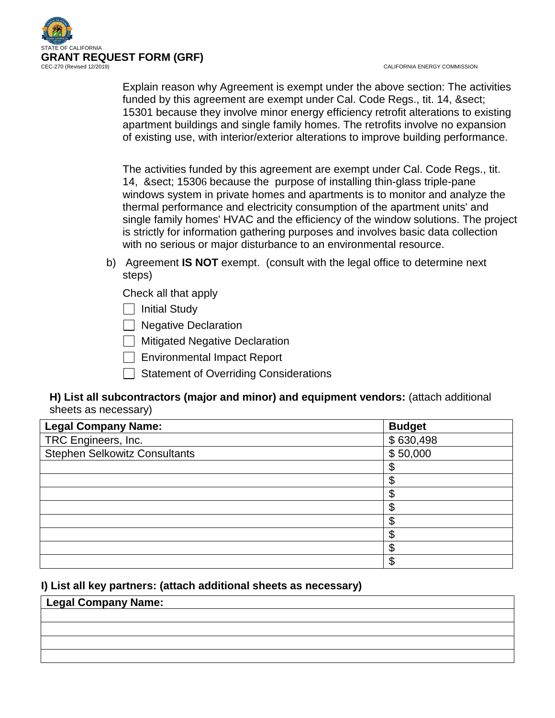

CALIFORNIA ENERGY COMMISSION

Explain reason why Agreement is exempt under the above section: The activities funded by this agreement are exempt under Cal. Code Regs., tit. 14, & sect; 15301 because they involve minor energy efficiency retrofit alterations to existing apartment buildings and single family homes. The retrofits involve no expansion of existing use, with interior/exterior alterations to improve building performance.

The activities funded by this agreement are exempt under Cal. Code Regs., tit. 14, & sect; 15306 because the purpose of installing thin-glass triple-pane windows system in private homes and apartments is to monitor and analyze the thermal performance and electricity consumption of the apartment units' and single family homes' HVAC and the efficiency of the window solutions. The project is strictly for information gathering purposes and involves basic data collection with no serious or major disturbance to an environmental resource.

b) Agreement **IS NOT** exempt. (consult with the legal office to determine next steps)

Check all that apply

 $\Box$  Initial Study

 $\Box$  Negative Declaration

**Nitigated Negative Declaration** 

- Environmental Impact Report
- Statement of Overriding Considerations

# **H) List all subcontractors (major and minor) and equipment vendors:** (attach additional sheets as necessary)

| <b>Legal Company Name:</b>           | <b>Budget</b> |
|--------------------------------------|---------------|
| TRC Engineers, Inc.                  | \$630,498     |
| <b>Stephen Selkowitz Consultants</b> | \$50,000      |
|                                      |               |
|                                      |               |
|                                      | Œ             |
|                                      | æ             |
|                                      |               |
|                                      | Œ             |
|                                      |               |
|                                      | œ             |

# **I) List all key partners: (attach additional sheets as necessary)**

# **Legal Company Name:**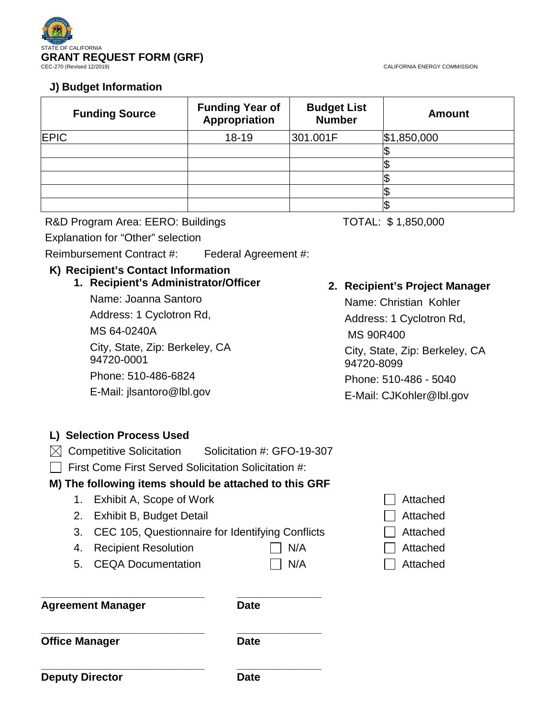

CALIFORNIA ENERGY COMMISSION

# **J) Budget Information**

| <b>Funding Source</b> | <b>Funding Year of</b><br>Appropriation | <b>Budget List</b><br><b>Number</b> | <b>Amount</b> |
|-----------------------|-----------------------------------------|-------------------------------------|---------------|
| <b>EPIC</b>           | $18 - 19$                               | 301.001F                            | \$1,850,000   |
|                       |                                         |                                     |               |
|                       |                                         |                                     |               |
|                       |                                         |                                     |               |
|                       |                                         |                                     |               |
|                       |                                         |                                     |               |

R&D Program Area: EERO: Buildings TOTAL: \$1,850,000

Explanation for "Other" selection

Reimbursement Contract #: Federal Agreement #:

# **K) Recipient's Contact Information**

## **1. Recipient's Administrator/Officer**

Name: Joanna Santoro Address: 1 Cyclotron Rd, MS 64-0240A City, State, Zip: Berkeley, CA 94720-0001 Phone: 510-486-6824 E-Mail: jlsantoro@lbl.gov

# **2. Recipient's Project Manager**

Name: Christian Kohler Address: 1 Cyclotron Rd, MS 90R400 City, State, Zip: Berkeley, CA 94720-8099 Phone: 510-486 - 5040 E-Mail: CJKohler@lbl.gov

# **L) Selection Process Used**

- $\boxtimes$  Competitive Solicitation Solicitation #: GFO-19-307
- First Come First Served Solicitation Solicitation #:

**\_\_\_\_\_\_\_\_\_\_\_\_\_\_\_\_\_\_\_\_\_\_\_\_\_\_\_ \_\_\_\_\_\_\_\_\_\_\_\_\_\_**

## **M) The following items should be attached to this GRF**

- 1. Exhibit A, Scope of Work Attached
- 2. Exhibit B, Budget Detail Attached
- 3. CEC 105, Questionnaire for Identifying Conflicts **Attached**
- 4. Recipient Resolution **N/A** N/A Attached
- 5. CEQA Documentation  $\Box$  N/A  $\Box$  Attached

**Agreement Manager Date** 

**\_\_\_\_\_\_\_\_\_\_\_\_\_\_\_\_\_\_\_\_\_\_\_\_\_\_\_ \_\_\_\_\_\_\_\_\_\_\_\_\_\_**

**\_\_\_\_\_\_\_\_\_\_\_\_\_\_\_\_\_\_\_\_\_\_\_\_\_\_\_ \_\_\_\_\_\_\_\_\_\_\_\_\_\_ Office Manager Date** 

**Deputy Director Date**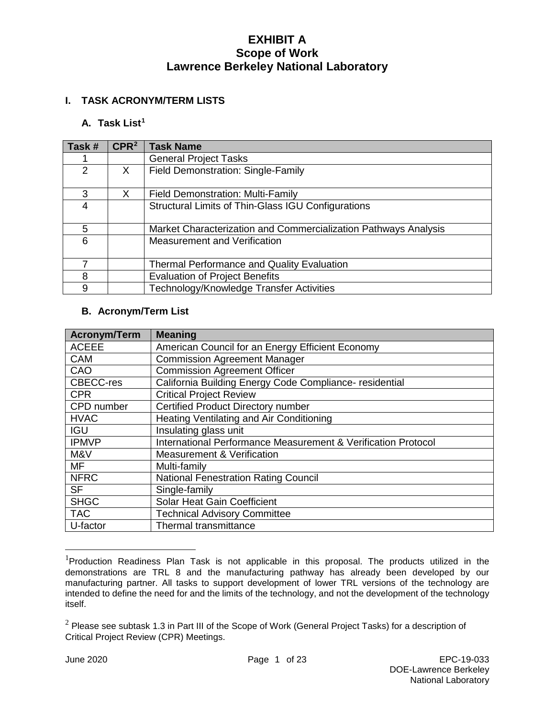## **I. TASK ACRONYM/TERM LISTS**

## **A. Task List[1](#page-3-0)**

| Task #        | CPR <sup>2</sup> | <b>Task Name</b>                                                |
|---------------|------------------|-----------------------------------------------------------------|
|               |                  | <b>General Project Tasks</b>                                    |
| $\mathcal{P}$ | X                | Field Demonstration: Single-Family                              |
| 3             | X                | <b>Field Demonstration: Multi-Family</b>                        |
| 4             |                  | Structural Limits of Thin-Glass IGU Configurations              |
| 5             |                  | Market Characterization and Commercialization Pathways Analysis |
| 6             |                  | Measurement and Verification                                    |
|               |                  | Thermal Performance and Quality Evaluation                      |
| 8             |                  | <b>Evaluation of Project Benefits</b>                           |
| 9             |                  | Technology/Knowledge Transfer Activities                        |

## **B. Acronym/Term List**

| <b>Acronym/Term</b> | <b>Meaning</b>                                                |
|---------------------|---------------------------------------------------------------|
| <b>ACEEE</b>        | American Council for an Energy Efficient Economy              |
| <b>CAM</b>          | <b>Commission Agreement Manager</b>                           |
| CAO                 | <b>Commission Agreement Officer</b>                           |
| <b>CBECC-res</b>    | California Building Energy Code Compliance- residential       |
| <b>CPR</b>          | <b>Critical Project Review</b>                                |
| CPD number          | <b>Certified Product Directory number</b>                     |
| <b>HVAC</b>         | Heating Ventilating and Air Conditioning                      |
| <b>IGU</b>          | Insulating glass unit                                         |
| <b>IPMVP</b>        | International Performance Measurement & Verification Protocol |
| M&V                 | <b>Measurement &amp; Verification</b>                         |
| <b>MF</b>           | Multi-family                                                  |
| <b>NFRC</b>         | <b>National Fenestration Rating Council</b>                   |
| <b>SF</b>           | Single-family                                                 |
| <b>SHGC</b>         | <b>Solar Heat Gain Coefficient</b>                            |
| <b>TAC</b>          | <b>Technical Advisory Committee</b>                           |
| U-factor            | <b>Thermal transmittance</b>                                  |

<span id="page-3-0"></span> $\frac{1}{1}$ <sup>1</sup>Production Readiness Plan Task is not applicable in this proposal. The products utilized in the demonstrations are TRL 8 and the manufacturing pathway has already been developed by our manufacturing partner. All tasks to support development of lower TRL versions of the technology are intended to define the need for and the limits of the technology, and not the development of the technology itself.

<span id="page-3-1"></span> $2$  Please see subtask 1.3 in Part III of the Scope of Work (General Project Tasks) for a description of Critical Project Review (CPR) Meetings.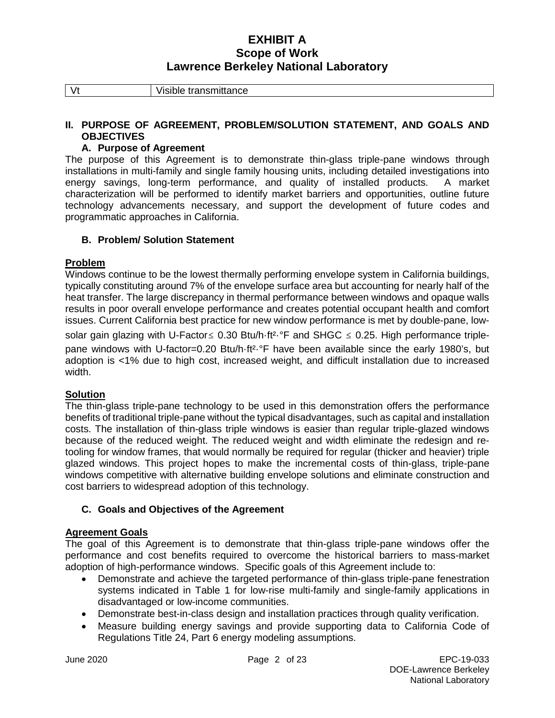Vt **Visible transmittance** 

## **II. PURPOSE OF AGREEMENT, PROBLEM/SOLUTION STATEMENT, AND GOALS AND OBJECTIVES**

## **A. Purpose of Agreement**

The purpose of this Agreement is to demonstrate thin-glass triple-pane windows through installations in multi-family and single family housing units, including detailed investigations into energy savings, long-term performance, and quality of installed products. A market characterization will be performed to identify market barriers and opportunities, outline future technology advancements necessary, and support the development of future codes and programmatic approaches in California.

## **B. Problem/ Solution Statement**

## **Problem**

Windows continue to be the lowest thermally performing envelope system in California buildings, typically constituting around 7% of the envelope surface area but accounting for nearly half of the heat transfer. The large discrepancy in thermal performance between windows and opaque walls results in poor overall envelope performance and creates potential occupant health and comfort issues. Current California best practice for new window performance is met by double-pane, low-

solar gain glazing with U-Factor ≤ 0.30 Btu/h⋅ft<sup>2</sup>⋅°F and SHGC  $\leq$  0.25. High performance triplepane windows with U-factor=0.20 Btu/h-ft<sup>2</sup>.°F have been available since the early 1980's, but adoption is <1% due to high cost, increased weight, and difficult installation due to increased width.

#### **Solution**

The thin-glass triple-pane technology to be used in this demonstration offers the performance benefits of traditional triple-pane without the typical disadvantages, such as capital and installation costs. The installation of thin-glass triple windows is easier than regular triple-glazed windows because of the reduced weight. The reduced weight and width eliminate the redesign and retooling for window frames, that would normally be required for regular (thicker and heavier) triple glazed windows. This project hopes to make the incremental costs of thin-glass, triple-pane windows competitive with alternative building envelope solutions and eliminate construction and cost barriers to widespread adoption of this technology.

## **C. Goals and Objectives of the Agreement**

#### **Agreement Goals**

The goal of this Agreement is to demonstrate that thin-glass triple-pane windows offer the performance and cost benefits required to overcome the historical barriers to mass-market adoption of high-performance windows. Specific goals of this Agreement include to:

- Demonstrate and achieve the targeted performance of thin-glass triple-pane fenestration systems indicated in Table 1 for low-rise multi-family and single-family applications in disadvantaged or low-income communities.
- Demonstrate best-in-class design and installation practices through quality verification.
- Measure building energy savings and provide supporting data to California Code of Regulations Title 24, Part 6 energy modeling assumptions.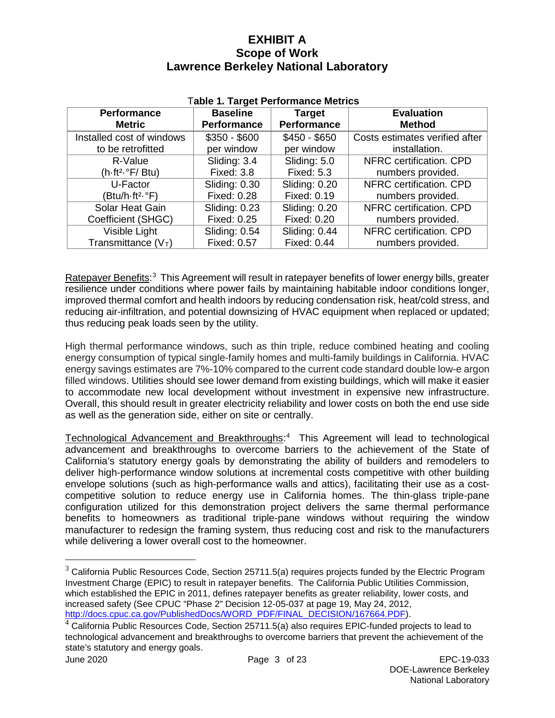| <b>Performance</b>          | l able 1. Target Performance Metrics<br><b>Baseline</b> |                      | <b>Evaluation</b>              |
|-----------------------------|---------------------------------------------------------|----------------------|--------------------------------|
|                             |                                                         | <b>Target</b>        |                                |
| <b>Metric</b>               | <b>Performance</b>                                      | <b>Performance</b>   | <b>Method</b>                  |
| Installed cost of windows   | $$350 - $600$                                           | $$450 - $650$        | Costs estimates verified after |
| to be retrofitted           | per window                                              | per window           | installation.                  |
| R-Value                     | Sliding: 3.4                                            | Sliding: 5.0         | NFRC certification. CPD        |
| (h·ft²·°F/ Btu)             | <b>Fixed: 3.8</b>                                       | <b>Fixed: 5.3</b>    | numbers provided.              |
| U-Factor                    | Sliding: 0.30                                           | <b>Sliding: 0.20</b> | NFRC certification. CPD        |
| (Btu/h-ft <sup>2</sup> ·°F) | Fixed: 0.28                                             | Fixed: 0.19          | numbers provided.              |
| Solar Heat Gain             | <b>Sliding: 0.23</b>                                    | <b>Sliding: 0.20</b> | NFRC certification. CPD        |
| Coefficient (SHGC)          | Fixed: 0.25                                             | Fixed: 0.20          | numbers provided.              |
| Visible Light               | <b>Sliding: 0.54</b>                                    | Sliding: 0.44        | NFRC certification. CPD        |
| Transmittance $(V_T)$       | Fixed: 0.57                                             | Fixed: 0.44          | numbers provided.              |

## T**able 1. Target Performance Metrics**

Ratepayer Benefits:<sup>[3](#page-5-0)</sup> This Agreement will result in ratepayer benefits of lower energy bills, greater resilience under conditions where power fails by maintaining habitable indoor conditions longer, improved thermal comfort and health indoors by reducing condensation risk, heat/cold stress, and reducing air-infiltration, and potential downsizing of HVAC equipment when replaced or updated; thus reducing peak loads seen by the utility.

High thermal performance windows, such as thin triple, reduce combined heating and cooling energy consumption of typical single-family homes and multi-family buildings in California. HVAC energy savings estimates are 7%-10% compared to the current code standard double low-e argon filled windows. Utilities should see lower demand from existing buildings, which will make it easier to accommodate new local development without investment in expensive new infrastructure. Overall, this should result in greater electricity reliability and lower costs on both the end use side as well as the generation side, either on site or centrally.

Technological Advancement and Breakthroughs:<sup>[4](#page-5-1)</sup> This Agreement will lead to technological advancement and breakthroughs to overcome barriers to the achievement of the State of California's statutory energy goals by demonstrating the ability of builders and remodelers to deliver high-performance window solutions at incremental costs competitive with other building envelope solutions (such as high-performance walls and attics), facilitating their use as a costcompetitive solution to reduce energy use in California homes. The thin-glass triple-pane configuration utilized for this demonstration project delivers the same thermal performance benefits to homeowners as traditional triple-pane windows without requiring the window manufacturer to redesign the framing system, thus reducing cost and risk to the manufacturers while delivering a lower overall cost to the homeowner.

<span id="page-5-0"></span> $3$  California Public Resources Code, Section 25711.5(a) requires projects funded by the Electric Program Investment Charge (EPIC) to result in ratepayer benefits. The California Public Utilities Commission, which established the EPIC in 2011, defines ratepayer benefits as greater reliability, lower costs, and increased safety (See CPUC "Phase 2" Decision 12-05-037 at page 19, May 24, 2012, [http://docs.cpuc.ca.gov/PublishedDocs/WORD\\_PDF/FINAL\\_DECISION/167664.PDF\)](about:blank).

<span id="page-5-1"></span> $4$  California Public Resources Code, Section 25711.5(a) also requires EPIC-funded projects to lead to technological advancement and breakthroughs to overcome barriers that prevent the achievement of the state's statutory and energy goals.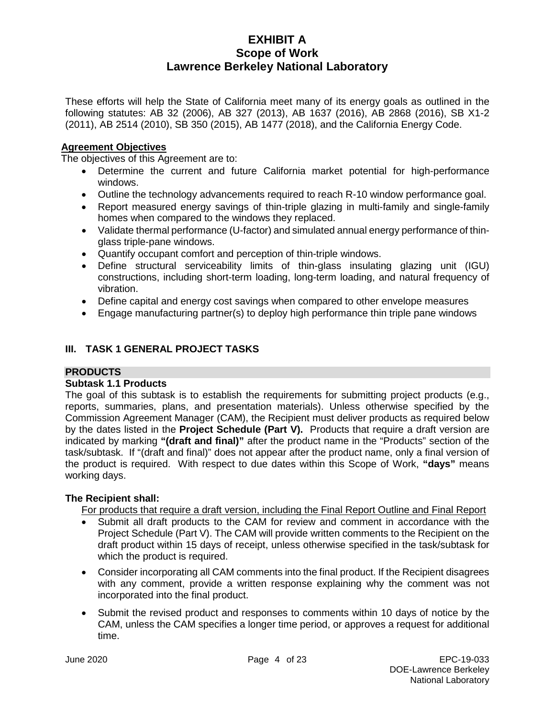These efforts will help the State of California meet many of its energy goals as outlined in the following statutes: AB 32 (2006), AB 327 (2013), AB 1637 (2016), AB 2868 (2016), SB X1-2 (2011), AB 2514 (2010), SB 350 (2015), AB 1477 (2018), and the California Energy Code.

## **Agreement Objectives**

The objectives of this Agreement are to:

- Determine the current and future California market potential for high-performance windows.
- Outline the technology advancements required to reach R-10 window performance goal.
- Report measured energy savings of thin-triple glazing in multi-family and single-family homes when compared to the windows they replaced.
- Validate thermal performance (U-factor) and simulated annual energy performance of thinglass triple-pane windows.
- Quantify occupant comfort and perception of thin-triple windows.
- Define structural serviceability limits of thin-glass insulating glazing unit (IGU) constructions, including short-term loading, long-term loading, and natural frequency of vibration.
- Define capital and energy cost savings when compared to other envelope measures
- Engage manufacturing partner(s) to deploy high performance thin triple pane windows

## **III. TASK 1 GENERAL PROJECT TASKS**

## **PRODUCTS**

## **Subtask 1.1 Products**

The goal of this subtask is to establish the requirements for submitting project products (e.g., reports, summaries, plans, and presentation materials). Unless otherwise specified by the Commission Agreement Manager (CAM), the Recipient must deliver products as required below by the dates listed in the **Project Schedule (Part V).** Products that require a draft version are indicated by marking **"(draft and final)"** after the product name in the "Products" section of the task/subtask. If "(draft and final)" does not appear after the product name, only a final version of the product is required. With respect to due dates within this Scope of Work, **"days"** means working days.

## **The Recipient shall:**

For products that require a draft version, including the Final Report Outline and Final Report

- Submit all draft products to the CAM for review and comment in accordance with the Project Schedule (Part V). The CAM will provide written comments to the Recipient on the draft product within 15 days of receipt, unless otherwise specified in the task/subtask for which the product is required.
- Consider incorporating all CAM comments into the final product. If the Recipient disagrees with any comment, provide a written response explaining why the comment was not incorporated into the final product.
- Submit the revised product and responses to comments within 10 days of notice by the CAM, unless the CAM specifies a longer time period, or approves a request for additional time.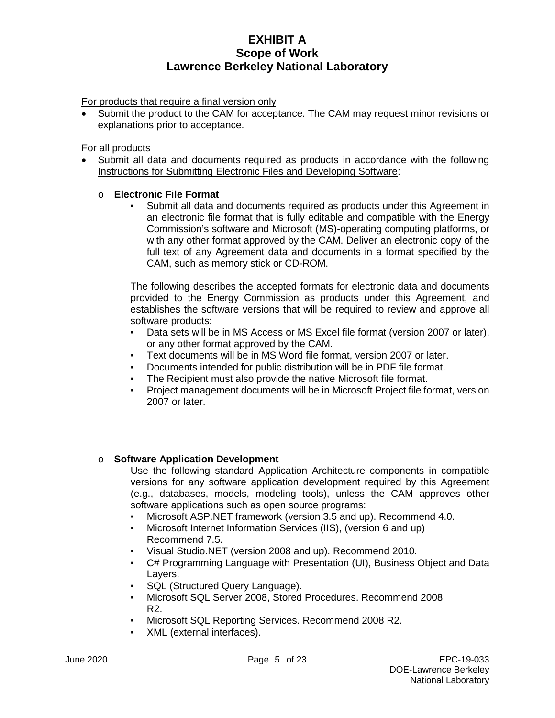For products that require a final version only

• Submit the product to the CAM for acceptance. The CAM may request minor revisions or explanations prior to acceptance.

## For all products

• Submit all data and documents required as products in accordance with the following Instructions for Submitting Electronic Files and Developing Software:

## o **Electronic File Format**

▪ Submit all data and documents required as products under this Agreement in an electronic file format that is fully editable and compatible with the Energy Commission's software and Microsoft (MS)-operating computing platforms, or with any other format approved by the CAM. Deliver an electronic copy of the full text of any Agreement data and documents in a format specified by the CAM, such as memory stick or CD-ROM.

The following describes the accepted formats for electronic data and documents provided to the Energy Commission as products under this Agreement, and establishes the software versions that will be required to review and approve all software products:

- Data sets will be in MS Access or MS Excel file format (version 2007 or later), or any other format approved by the CAM.
- Text documents will be in MS Word file format, version 2007 or later.
- Documents intended for public distribution will be in PDF file format.
- The Recipient must also provide the native Microsoft file format.
- Project management documents will be in Microsoft Project file format, version 2007 or later.

## o **Software Application Development**

Use the following standard Application Architecture components in compatible versions for any software application development required by this Agreement (e.g., databases, models, modeling tools), unless the CAM approves other software applications such as open source programs:

- Microsoft ASP.NET framework (version 3.5 and up). Recommend 4.0.
- Microsoft Internet Information Services (IIS), (version 6 and up) Recommend 7.5.
- Visual Studio.NET (version 2008 and up). Recommend 2010.
- C# Programming Language with Presentation (UI), Business Object and Data Layers.
- SQL (Structured Query Language).
- Microsoft SQL Server 2008, Stored Procedures. Recommend 2008 R2.
- Microsoft SQL Reporting Services. Recommend 2008 R2.
- XML (external interfaces).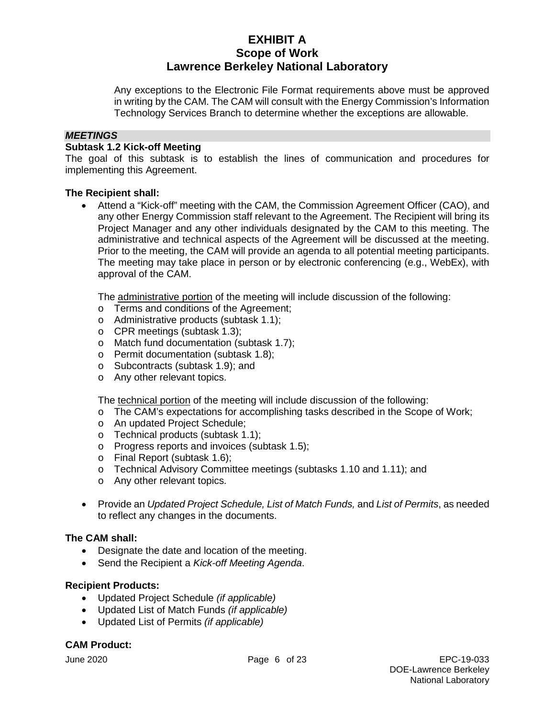Any exceptions to the Electronic File Format requirements above must be approved in writing by the CAM. The CAM will consult with the Energy Commission's Information Technology Services Branch to determine whether the exceptions are allowable.

## *MEETINGS*

## **Subtask 1.2 Kick-off Meeting**

The goal of this subtask is to establish the lines of communication and procedures for implementing this Agreement.

#### **The Recipient shall:**

• Attend a "Kick-off" meeting with the CAM, the Commission Agreement Officer (CAO), and any other Energy Commission staff relevant to the Agreement. The Recipient will bring its Project Manager and any other individuals designated by the CAM to this meeting. The administrative and technical aspects of the Agreement will be discussed at the meeting. Prior to the meeting, the CAM will provide an agenda to all potential meeting participants. The meeting may take place in person or by electronic conferencing (e.g., WebEx), with approval of the CAM.

The administrative portion of the meeting will include discussion of the following:

- o Terms and conditions of the Agreement;
- o Administrative products (subtask 1.1);
- o CPR meetings (subtask 1.3);
- o Match fund documentation (subtask 1.7);
- o Permit documentation (subtask 1.8);
- o Subcontracts (subtask 1.9); and
- o Any other relevant topics.

The technical portion of the meeting will include discussion of the following:

- o The CAM's expectations for accomplishing tasks described in the Scope of Work;
- o An updated Project Schedule;
- o Technical products (subtask 1.1);
- o Progress reports and invoices (subtask 1.5);
- o Final Report (subtask 1.6);
- o Technical Advisory Committee meetings (subtasks 1.10 and 1.11); and
- o Any other relevant topics.
- Provide an *Updated Project Schedule, List of Match Funds,* and *List of Permits*, as needed to reflect any changes in the documents.

#### **The CAM shall:**

- Designate the date and location of the meeting.
- Send the Recipient a *Kick-off Meeting Agenda*.

#### **Recipient Products:**

- Updated Project Schedule *(if applicable)*
- Updated List of Match Funds *(if applicable)*
- Updated List of Permits *(if applicable)*

## **CAM Product:**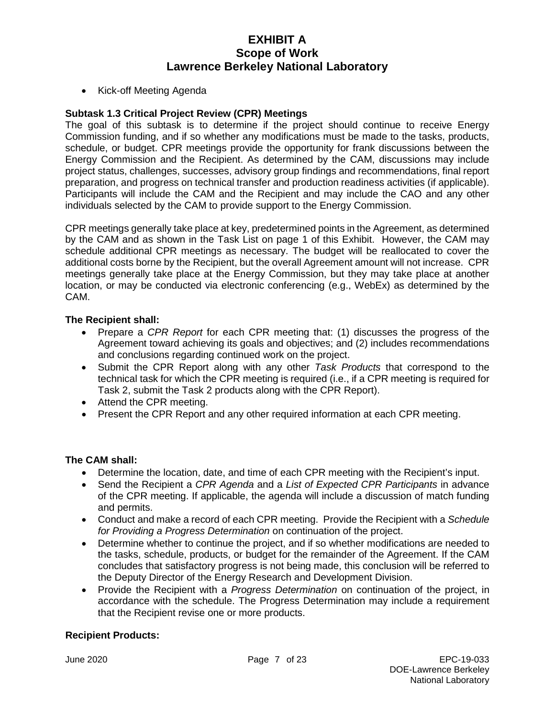• Kick-off Meeting Agenda

## **Subtask 1.3 Critical Project Review (CPR) Meetings**

The goal of this subtask is to determine if the project should continue to receive Energy Commission funding, and if so whether any modifications must be made to the tasks, products, schedule, or budget. CPR meetings provide the opportunity for frank discussions between the Energy Commission and the Recipient. As determined by the CAM, discussions may include project status, challenges, successes, advisory group findings and recommendations, final report preparation, and progress on technical transfer and production readiness activities (if applicable). Participants will include the CAM and the Recipient and may include the CAO and any other individuals selected by the CAM to provide support to the Energy Commission.

CPR meetings generally take place at key, predetermined points in the Agreement, as determined by the CAM and as shown in the Task List on page 1 of this Exhibit. However, the CAM may schedule additional CPR meetings as necessary. The budget will be reallocated to cover the additional costs borne by the Recipient, but the overall Agreement amount will not increase. CPR meetings generally take place at the Energy Commission, but they may take place at another location, or may be conducted via electronic conferencing (e.g., WebEx) as determined by the CAM.

#### **The Recipient shall:**

- Prepare a *CPR Report* for each CPR meeting that: (1) discusses the progress of the Agreement toward achieving its goals and objectives; and (2) includes recommendations and conclusions regarding continued work on the project.
- Submit the CPR Report along with any other *Task Products* that correspond to the technical task for which the CPR meeting is required (i.e., if a CPR meeting is required for Task 2, submit the Task 2 products along with the CPR Report).
- Attend the CPR meeting.
- Present the CPR Report and any other required information at each CPR meeting.

## **The CAM shall:**

- Determine the location, date, and time of each CPR meeting with the Recipient's input.
- Send the Recipient a *CPR Agenda* and a *List of Expected CPR Participants* in advance of the CPR meeting. If applicable, the agenda will include a discussion of match funding and permits.
- Conduct and make a record of each CPR meeting. Provide the Recipient with a *Schedule for Providing a Progress Determination* on continuation of the project.
- Determine whether to continue the project, and if so whether modifications are needed to the tasks, schedule, products, or budget for the remainder of the Agreement. If the CAM concludes that satisfactory progress is not being made, this conclusion will be referred to the Deputy Director of the Energy Research and Development Division.
- Provide the Recipient with a *Progress Determination* on continuation of the project, in accordance with the schedule. The Progress Determination may include a requirement that the Recipient revise one or more products.

#### **Recipient Products:**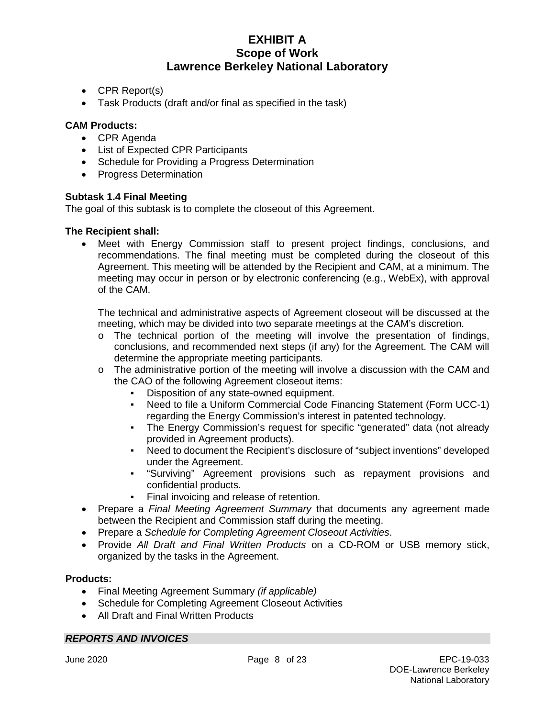- CPR Report(s)
- Task Products (draft and/or final as specified in the task)

## **CAM Products:**

- CPR Agenda
- List of Expected CPR Participants
- Schedule for Providing a Progress Determination
- Progress Determination

## **Subtask 1.4 Final Meeting**

The goal of this subtask is to complete the closeout of this Agreement.

## **The Recipient shall:**

• Meet with Energy Commission staff to present project findings, conclusions, and recommendations. The final meeting must be completed during the closeout of this Agreement. This meeting will be attended by the Recipient and CAM, at a minimum. The meeting may occur in person or by electronic conferencing (e.g., WebEx), with approval of the CAM.

The technical and administrative aspects of Agreement closeout will be discussed at the meeting, which may be divided into two separate meetings at the CAM's discretion.

- o The technical portion of the meeting will involve the presentation of findings, conclusions, and recommended next steps (if any) for the Agreement. The CAM will determine the appropriate meeting participants.
- $\circ$  The administrative portion of the meeting will involve a discussion with the CAM and the CAO of the following Agreement closeout items:
	- Disposition of any state-owned equipment.
	- Need to file a Uniform Commercial Code Financing Statement (Form UCC-1) regarding the Energy Commission's interest in patented technology.
	- The Energy Commission's request for specific "generated" data (not already provided in Agreement products).
	- Need to document the Recipient's disclosure of "subject inventions" developed under the Agreement.
	- "Surviving" Agreement provisions such as repayment provisions and confidential products.
	- **•** Final invoicing and release of retention.
- Prepare a *Final Meeting Agreement Summary* that documents any agreement made between the Recipient and Commission staff during the meeting.
- Prepare a *Schedule for Completing Agreement Closeout Activities*.
- Provide *All Draft and Final Written Products* on a CD-ROM or USB memory stick, organized by the tasks in the Agreement.

#### **Products:**

- Final Meeting Agreement Summary *(if applicable)*
- Schedule for Completing Agreement Closeout Activities
- All Draft and Final Written Products

## *REPORTS AND INVOICES*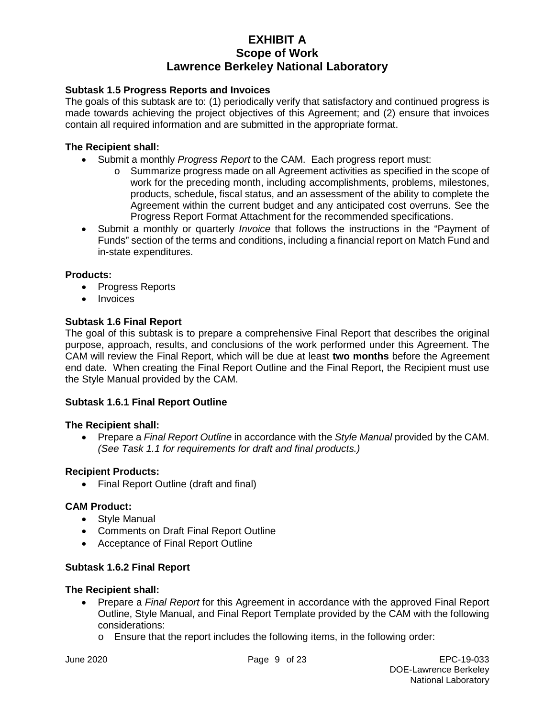## **Subtask 1.5 Progress Reports and Invoices**

The goals of this subtask are to: (1) periodically verify that satisfactory and continued progress is made towards achieving the project objectives of this Agreement; and (2) ensure that invoices contain all required information and are submitted in the appropriate format.

## **The Recipient shall:**

- Submit a monthly *Progress Report* to the CAM. Each progress report must:
	- o Summarize progress made on all Agreement activities as specified in the scope of work for the preceding month, including accomplishments, problems, milestones, products, schedule, fiscal status, and an assessment of the ability to complete the Agreement within the current budget and any anticipated cost overruns. See the Progress Report Format Attachment for the recommended specifications.
- Submit a monthly or quarterly *Invoice* that follows the instructions in the "Payment of Funds" section of the terms and conditions, including a financial report on Match Fund and in-state expenditures.

## **Products:**

- Progress Reports
- Invoices

## **Subtask 1.6 Final Report**

The goal of this subtask is to prepare a comprehensive Final Report that describes the original purpose, approach, results, and conclusions of the work performed under this Agreement. The CAM will review the Final Report, which will be due at least **two months** before the Agreement end date. When creating the Final Report Outline and the Final Report, the Recipient must use the Style Manual provided by the CAM.

## **Subtask 1.6.1 Final Report Outline**

## **The Recipient shall:**

• Prepare a *Final Report Outline* in accordance with the *Style Manual* provided by the CAM. *(See Task 1.1 for requirements for draft and final products.)*

## **Recipient Products:**

• Final Report Outline (draft and final)

#### **CAM Product:**

- Style Manual
- Comments on Draft Final Report Outline
- Acceptance of Final Report Outline

#### **Subtask 1.6.2 Final Report**

- Prepare a *Final Report* for this Agreement in accordance with the approved Final Report Outline, Style Manual, and Final Report Template provided by the CAM with the following considerations:
	- $\circ$  Ensure that the report includes the following items, in the following order: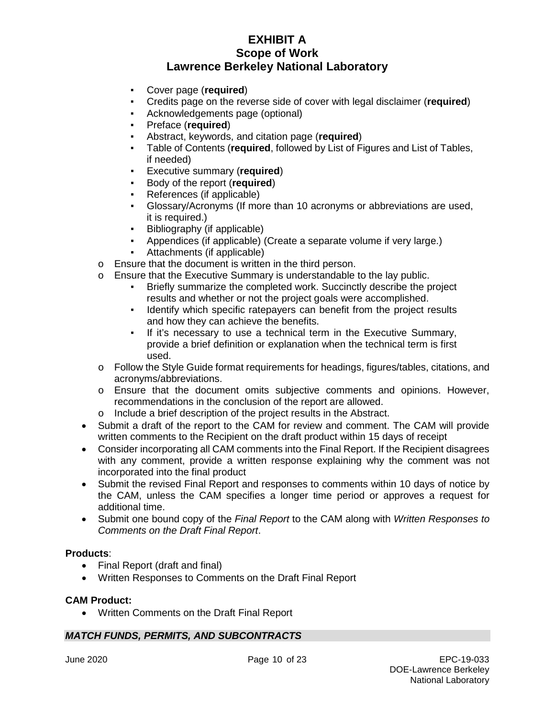- Cover page (**required**)
- Credits page on the reverse side of cover with legal disclaimer (**required**)
- Acknowledgements page (optional)
- Preface (**required**)
- Abstract, keywords, and citation page (**required**)
- Table of Contents (**required**, followed by List of Figures and List of Tables, if needed)
- Executive summary (**required**)
- Body of the report (**required**)
- References (if applicable)
- Glossary/Acronyms (If more than 10 acronyms or abbreviations are used, it is required.)
- Bibliography (if applicable)
- Appendices (if applicable) (Create a separate volume if very large.)
- Attachments (if applicable)
- o Ensure that the document is written in the third person.
- o Ensure that the Executive Summary is understandable to the lay public.
	- Briefly summarize the completed work. Succinctly describe the project results and whether or not the project goals were accomplished.
	- Identify which specific ratepayers can benefit from the project results and how they can achieve the benefits.
	- If it's necessary to use a technical term in the Executive Summary, provide a brief definition or explanation when the technical term is first used.
- o Follow the Style Guide format requirements for headings, figures/tables, citations, and acronyms/abbreviations.
- o Ensure that the document omits subjective comments and opinions. However, recommendations in the conclusion of the report are allowed.
- o Include a brief description of the project results in the Abstract.
- Submit a draft of the report to the CAM for review and comment. The CAM will provide written comments to the Recipient on the draft product within 15 days of receipt
- Consider incorporating all CAM comments into the Final Report. If the Recipient disagrees with any comment, provide a written response explaining why the comment was not incorporated into the final product
- Submit the revised Final Report and responses to comments within 10 days of notice by the CAM, unless the CAM specifies a longer time period or approves a request for additional time.
- Submit one bound copy of the *Final Report* to the CAM along with *Written Responses to Comments on the Draft Final Report*.

## **Products**:

- Final Report (draft and final)
- Written Responses to Comments on the Draft Final Report

## **CAM Product:**

• Written Comments on the Draft Final Report

## *MATCH FUNDS, PERMITS, AND SUBCONTRACTS*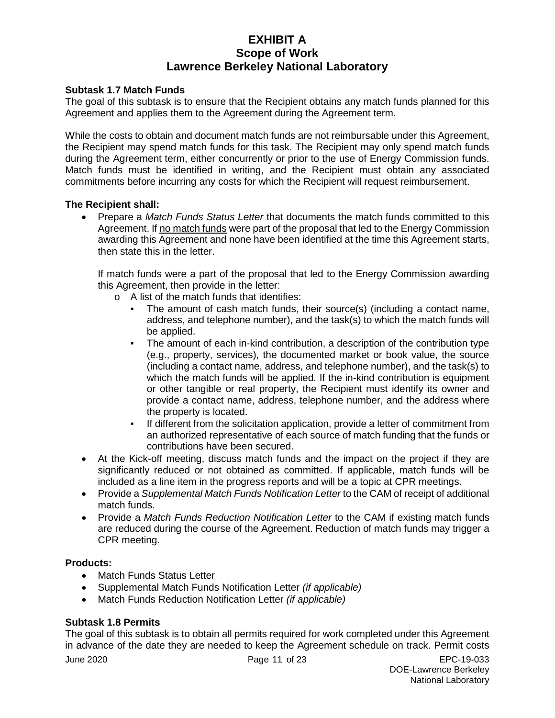## **Subtask 1.7 Match Funds**

The goal of this subtask is to ensure that the Recipient obtains any match funds planned for this Agreement and applies them to the Agreement during the Agreement term.

While the costs to obtain and document match funds are not reimbursable under this Agreement, the Recipient may spend match funds for this task. The Recipient may only spend match funds during the Agreement term, either concurrently or prior to the use of Energy Commission funds. Match funds must be identified in writing, and the Recipient must obtain any associated commitments before incurring any costs for which the Recipient will request reimbursement.

## **The Recipient shall:**

• Prepare a *Match Funds Status Letter* that documents the match funds committed to this Agreement. If no match funds were part of the proposal that led to the Energy Commission awarding this Agreement and none have been identified at the time this Agreement starts, then state this in the letter.

If match funds were a part of the proposal that led to the Energy Commission awarding this Agreement, then provide in the letter:

- o A list of the match funds that identifies:
	- The amount of cash match funds, their source(s) (including a contact name, address, and telephone number), and the task(s) to which the match funds will be applied.
	- The amount of each in-kind contribution, a description of the contribution type (e.g., property, services), the documented market or book value, the source (including a contact name, address, and telephone number), and the task(s) to which the match funds will be applied. If the in-kind contribution is equipment or other tangible or real property, the Recipient must identify its owner and provide a contact name, address, telephone number, and the address where the property is located.
	- If different from the solicitation application, provide a letter of commitment from an authorized representative of each source of match funding that the funds or contributions have been secured.
- At the Kick-off meeting, discuss match funds and the impact on the project if they are significantly reduced or not obtained as committed. If applicable, match funds will be included as a line item in the progress reports and will be a topic at CPR meetings.
- Provide a *Supplemental Match Funds Notification Letter* to the CAM of receipt of additional match funds.
- Provide a *Match Funds Reduction Notification Letter* to the CAM if existing match funds are reduced during the course of the Agreement. Reduction of match funds may trigger a CPR meeting.

#### **Products:**

- **Match Funds Status Letter**
- Supplemental Match Funds Notification Letter *(if applicable)*
- Match Funds Reduction Notification Letter *(if applicable)*

## **Subtask 1.8 Permits**

June 2020 Page 11\_of 23 EPC-19-033 The goal of this subtask is to obtain all permits required for work completed under this Agreement in advance of the date they are needed to keep the Agreement schedule on track. Permit costs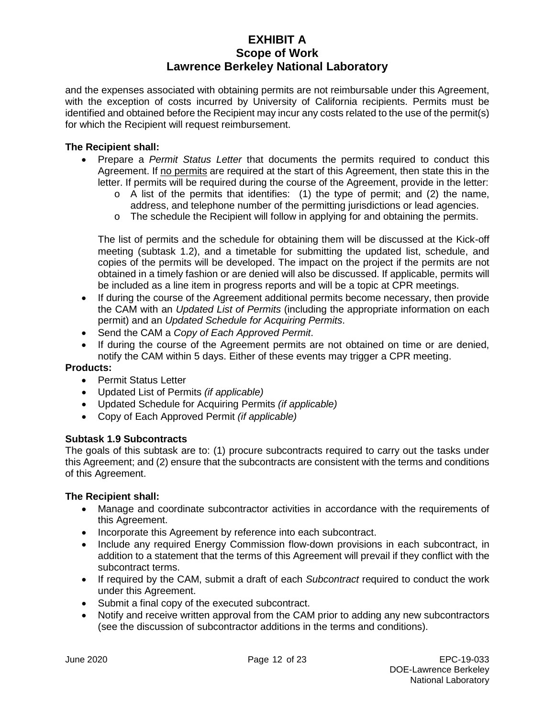and the expenses associated with obtaining permits are not reimbursable under this Agreement, with the exception of costs incurred by University of California recipients. Permits must be identified and obtained before the Recipient may incur any costs related to the use of the permit(s) for which the Recipient will request reimbursement.

## **The Recipient shall:**

- Prepare a *Permit Status Letter* that documents the permits required to conduct this Agreement. If no permits are required at the start of this Agreement, then state this in the letter. If permits will be required during the course of the Agreement, provide in the letter:
	- $\circ$  A list of the permits that identifies: (1) the type of permit; and (2) the name, address, and telephone number of the permitting jurisdictions or lead agencies.
	- $\circ$  The schedule the Recipient will follow in applying for and obtaining the permits.

The list of permits and the schedule for obtaining them will be discussed at the Kick-off meeting (subtask 1.2), and a timetable for submitting the updated list, schedule, and copies of the permits will be developed. The impact on the project if the permits are not obtained in a timely fashion or are denied will also be discussed. If applicable, permits will be included as a line item in progress reports and will be a topic at CPR meetings.

- If during the course of the Agreement additional permits become necessary, then provide the CAM with an *Updated List of Permits* (including the appropriate information on each permit) and an *Updated Schedule for Acquiring Permits*.
- Send the CAM a *Copy of Each Approved Permit*.
- If during the course of the Agreement permits are not obtained on time or are denied, notify the CAM within 5 days. Either of these events may trigger a CPR meeting.

## **Products:**

- Permit Status Letter
- Updated List of Permits *(if applicable)*
- Updated Schedule for Acquiring Permits *(if applicable)*
- Copy of Each Approved Permit *(if applicable)*

## **Subtask 1.9 Subcontracts**

The goals of this subtask are to: (1) procure subcontracts required to carry out the tasks under this Agreement; and (2) ensure that the subcontracts are consistent with the terms and conditions of this Agreement.

- Manage and coordinate subcontractor activities in accordance with the requirements of this Agreement.
- Incorporate this Agreement by reference into each subcontract.
- Include any required Energy Commission flow-down provisions in each subcontract, in addition to a statement that the terms of this Agreement will prevail if they conflict with the subcontract terms.
- If required by the CAM, submit a draft of each *Subcontract* required to conduct the work under this Agreement.
- Submit a final copy of the executed subcontract.
- Notify and receive written approval from the CAM prior to adding any new subcontractors (see the discussion of subcontractor additions in the terms and conditions).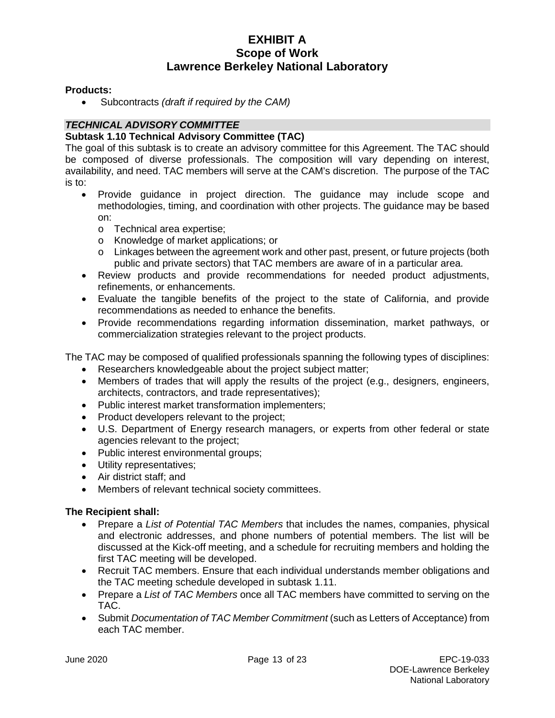#### **Products:**

• Subcontracts *(draft if required by the CAM)*

## *TECHNICAL ADVISORY COMMITTEE*

## **Subtask 1.10 Technical Advisory Committee (TAC)**

The goal of this subtask is to create an advisory committee for this Agreement. The TAC should be composed of diverse professionals. The composition will vary depending on interest, availability, and need. TAC members will serve at the CAM's discretion. The purpose of the TAC is to:

- Provide guidance in project direction. The guidance may include scope and methodologies, timing, and coordination with other projects. The guidance may be based on:
	- o Technical area expertise;
	- o Knowledge of market applications; or
	- o Linkages between the agreement work and other past, present, or future projects (both public and private sectors) that TAC members are aware of in a particular area.
- Review products and provide recommendations for needed product adjustments, refinements, or enhancements.
- Evaluate the tangible benefits of the project to the state of California, and provide recommendations as needed to enhance the benefits.
- Provide recommendations regarding information dissemination, market pathways, or commercialization strategies relevant to the project products.

The TAC may be composed of qualified professionals spanning the following types of disciplines:

- Researchers knowledgeable about the project subject matter;
- Members of trades that will apply the results of the project (e.g., designers, engineers, architects, contractors, and trade representatives);
- Public interest market transformation implementers;
- Product developers relevant to the project;
- U.S. Department of Energy research managers, or experts from other federal or state agencies relevant to the project;
- Public interest environmental groups;
- Utility representatives;
- Air district staff: and
- Members of relevant technical society committees.

- Prepare a *List of Potential TAC Members* that includes the names, companies, physical and electronic addresses, and phone numbers of potential members. The list will be discussed at the Kick-off meeting, and a schedule for recruiting members and holding the first TAC meeting will be developed.
- Recruit TAC members. Ensure that each individual understands member obligations and the TAC meeting schedule developed in subtask 1.11.
- Prepare a *List of TAC Members* once all TAC members have committed to serving on the TAC.
- Submit *Documentation of TAC Member Commitment* (such as Letters of Acceptance) from each TAC member.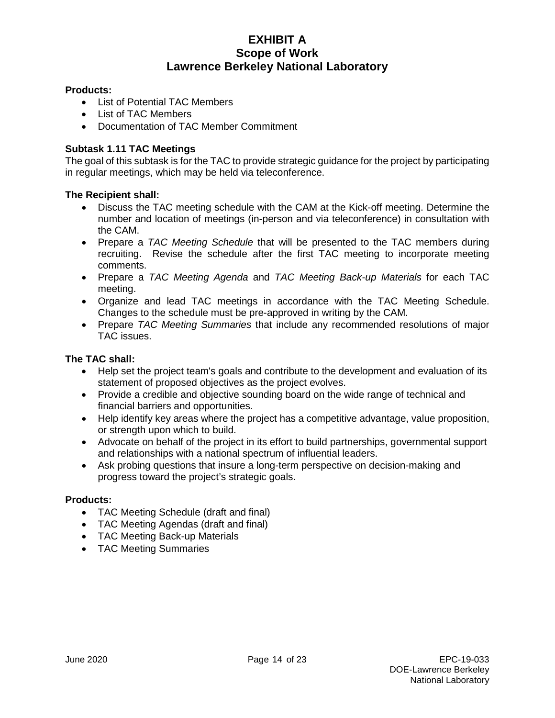## **Products:**

- List of Potential TAC Members
- List of TAC Members
- Documentation of TAC Member Commitment

## **Subtask 1.11 TAC Meetings**

The goal of this subtask is for the TAC to provide strategic guidance for the project by participating in regular meetings, which may be held via teleconference.

## **The Recipient shall:**

- Discuss the TAC meeting schedule with the CAM at the Kick-off meeting. Determine the number and location of meetings (in-person and via teleconference) in consultation with the CAM.
- Prepare a *TAC Meeting Schedule* that will be presented to the TAC members during recruiting. Revise the schedule after the first TAC meeting to incorporate meeting comments.
- Prepare a *TAC Meeting Agenda* and *TAC Meeting Back-up Materials* for each TAC meeting.
- Organize and lead TAC meetings in accordance with the TAC Meeting Schedule. Changes to the schedule must be pre-approved in writing by the CAM.
- Prepare *TAC Meeting Summaries* that include any recommended resolutions of major TAC issues.

## **The TAC shall:**

- Help set the project team's goals and contribute to the development and evaluation of its statement of proposed objectives as the project evolves.
- Provide a credible and objective sounding board on the wide range of technical and financial barriers and opportunities.
- Help identify key areas where the project has a competitive advantage, value proposition, or strength upon which to build.
- Advocate on behalf of the project in its effort to build partnerships, governmental support and relationships with a national spectrum of influential leaders.
- Ask probing questions that insure a long-term perspective on decision-making and progress toward the project's strategic goals.

#### **Products:**

- TAC Meeting Schedule (draft and final)
- TAC Meeting Agendas (draft and final)
- TAC Meeting Back-up Materials
- TAC Meeting Summaries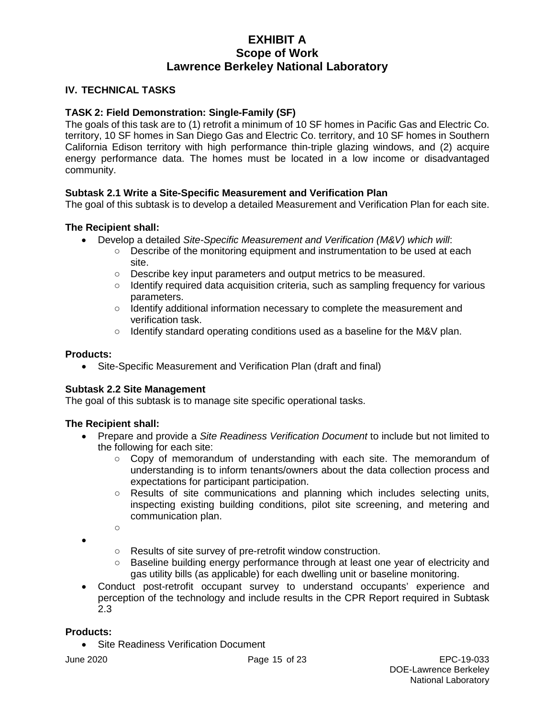## **IV. TECHNICAL TASKS**

## **TASK 2: Field Demonstration: Single-Family (SF)**

The goals of this task are to (1) retrofit a minimum of 10 SF homes in Pacific Gas and Electric Co. territory, 10 SF homes in San Diego Gas and Electric Co. territory, and 10 SF homes in Southern California Edison territory with high performance thin-triple glazing windows, and (2) acquire energy performance data. The homes must be located in a low income or disadvantaged community.

## **Subtask 2.1 Write a Site-Specific Measurement and Verification Plan**

The goal of this subtask is to develop a detailed Measurement and Verification Plan for each site.

## **The Recipient shall:**

- Develop a detailed *Site-Specific Measurement and Verification (M&V) which will*:
	- Describe of the monitoring equipment and instrumentation to be used at each site.
	- Describe key input parameters and output metrics to be measured.
	- Identify required data acquisition criteria, such as sampling frequency for various parameters.
	- Identify additional information necessary to complete the measurement and verification task.
	- Identify standard operating conditions used as a baseline for the M&V plan.

## **Products:**

• Site-Specific Measurement and Verification Plan (draft and final)

#### **Subtask 2.2 Site Management**

The goal of this subtask is to manage site specific operational tasks.

#### **The Recipient shall:**

- Prepare and provide a *Site Readiness Verification Document* to include but not limited to the following for each site:
	- Copy of memorandum of understanding with each site. The memorandum of understanding is to inform tenants/owners about the data collection process and expectations for participant participation.
	- Results of site communications and planning which includes selecting units, inspecting existing building conditions, pilot site screening, and metering and communication plan.

 $\circ$ 

- •
- Results of site survey of pre-retrofit window construction.
- Baseline building energy performance through at least one year of electricity and gas utility bills (as applicable) for each dwelling unit or baseline monitoring.
- Conduct post-retrofit occupant survey to understand occupants' experience and perception of the technology and include results in the CPR Report required in Subtask 2.3

## **Products:**

• Site Readiness Verification Document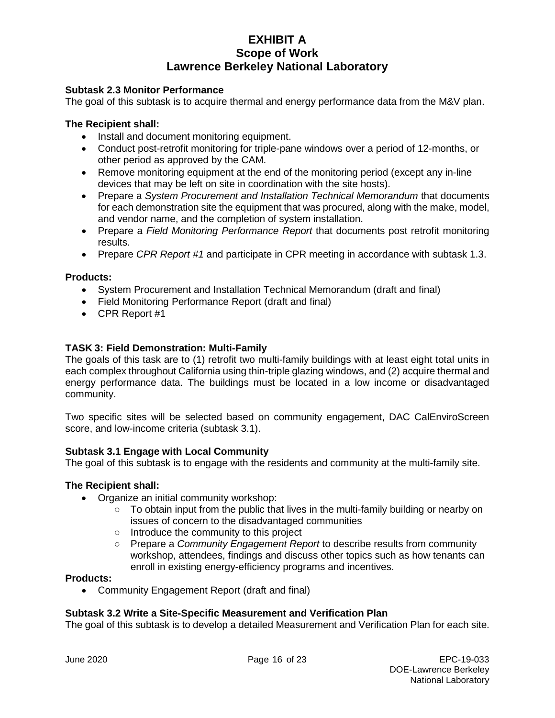## **Subtask 2.3 Monitor Performance**

The goal of this subtask is to acquire thermal and energy performance data from the M&V plan.

#### **The Recipient shall:**

- Install and document monitoring equipment.
- Conduct post-retrofit monitoring for triple-pane windows over a period of 12-months, or other period as approved by the CAM.
- Remove monitoring equipment at the end of the monitoring period (except any in-line devices that may be left on site in coordination with the site hosts).
- Prepare a *System Procurement and Installation Technical Memorandum* that documents for each demonstration site the equipment that was procured, along with the make, model, and vendor name, and the completion of system installation.
- Prepare a *Field Monitoring Performance Report* that documents post retrofit monitoring results.
- Prepare *CPR Report #1* and participate in CPR meeting in accordance with subtask 1.3.

## **Products:**

- System Procurement and Installation Technical Memorandum (draft and final)
- Field Monitoring Performance Report (draft and final)
- CPR Report #1

## **TASK 3: Field Demonstration: Multi-Family**

The goals of this task are to (1) retrofit two multi-family buildings with at least eight total units in each complex throughout California using thin-triple glazing windows, and (2) acquire thermal and energy performance data. The buildings must be located in a low income or disadvantaged community.

Two specific sites will be selected based on community engagement, DAC CalEnviroScreen score, and low-income criteria (subtask 3.1).

#### **Subtask 3.1 Engage with Local Community**

The goal of this subtask is to engage with the residents and community at the multi-family site.

#### **The Recipient shall:**

- Organize an initial community workshop:
	- $\circ$  To obtain input from the public that lives in the multi-family building or nearby on issues of concern to the disadvantaged communities
	- Introduce the community to this project
	- Prepare a *Community Engagement Report* to describe results from community workshop, attendees, findings and discuss other topics such as how tenants can enroll in existing energy-efficiency programs and incentives.

#### **Products:**

• Community Engagement Report (draft and final)

#### **Subtask 3.2 Write a Site-Specific Measurement and Verification Plan**

The goal of this subtask is to develop a detailed Measurement and Verification Plan for each site.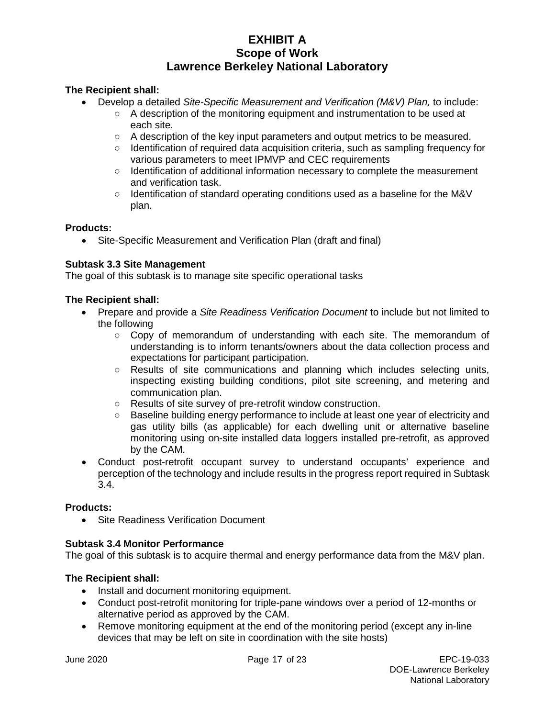## **The Recipient shall:**

- Develop a detailed *Site-Specific Measurement and Verification (M&V) Plan,* to include:
	- A description of the monitoring equipment and instrumentation to be used at each site.
	- A description of the key input parameters and output metrics to be measured.
	- Identification of required data acquisition criteria, such as sampling frequency for various parameters to meet IPMVP and CEC requirements
	- Identification of additional information necessary to complete the measurement and verification task.
	- Identification of standard operating conditions used as a baseline for the M&V plan.

## **Products:**

• Site-Specific Measurement and Verification Plan (draft and final)

## **Subtask 3.3 Site Management**

The goal of this subtask is to manage site specific operational tasks

## **The Recipient shall:**

- Prepare and provide a *Site Readiness Verification Document* to include but not limited to the following
	- Copy of memorandum of understanding with each site. The memorandum of understanding is to inform tenants/owners about the data collection process and expectations for participant participation.
	- Results of site communications and planning which includes selecting units, inspecting existing building conditions, pilot site screening, and metering and communication plan.
	- Results of site survey of pre-retrofit window construction.
	- Baseline building energy performance to include at least one year of electricity and gas utility bills (as applicable) for each dwelling unit or alternative baseline monitoring using on-site installed data loggers installed pre-retrofit, as approved by the CAM.
- Conduct post-retrofit occupant survey to understand occupants' experience and perception of the technology and include results in the progress report required in Subtask 3.4.

## **Products:**

• Site Readiness Verification Document

## **Subtask 3.4 Monitor Performance**

The goal of this subtask is to acquire thermal and energy performance data from the M&V plan.

- Install and document monitoring equipment.
- Conduct post-retrofit monitoring for triple-pane windows over a period of 12-months or alternative period as approved by the CAM.
- Remove monitoring equipment at the end of the monitoring period (except any in-line devices that may be left on site in coordination with the site hosts)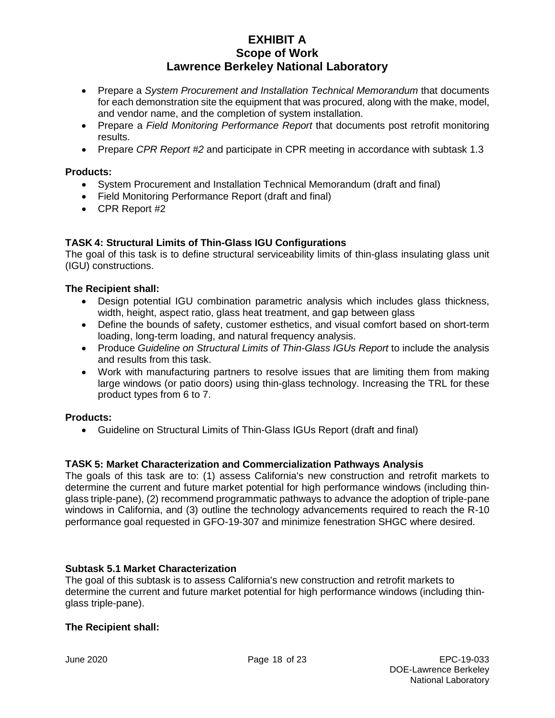- Prepare a *System Procurement and Installation Technical Memorandum* that documents for each demonstration site the equipment that was procured, along with the make, model, and vendor name, and the completion of system installation.
- Prepare a *Field Monitoring Performance Report* that documents post retrofit monitoring results.
- Prepare *CPR Report #2* and participate in CPR meeting in accordance with subtask 1.3

## **Products:**

- System Procurement and Installation Technical Memorandum (draft and final)
- Field Monitoring Performance Report (draft and final)
- CPR Report #2

## **TASK 4: Structural Limits of Thin-Glass IGU Configurations**

The goal of this task is to define structural serviceability limits of thin-glass insulating glass unit (IGU) constructions.

## **The Recipient shall:**

- Design potential IGU combination parametric analysis which includes glass thickness, width, height, aspect ratio, glass heat treatment, and gap between glass
- Define the bounds of safety, customer esthetics, and visual comfort based on short-term loading, long-term loading, and natural frequency analysis.
- Produce *Guideline on Structural Limits of Thin-Glass IGUs Report* to include the analysis and results from this task.
- Work with manufacturing partners to resolve issues that are limiting them from making large windows (or patio doors) using thin-glass technology. Increasing the TRL for these product types from 6 to 7.

## **Products:**

• Guideline on Structural Limits of Thin-Glass IGUs Report (draft and final)

## **TASK 5: Market Characterization and Commercialization Pathways Analysis**

The goals of this task are to: (1) assess California's new construction and retrofit markets to determine the current and future market potential for high performance windows (including thinglass triple-pane), (2) recommend programmatic pathways to advance the adoption of triple-pane windows in California, and (3) outline the technology advancements required to reach the R-10 performance goal requested in GFO-19-307 and minimize fenestration SHGC where desired.

## **Subtask 5.1 Market Characterization**

The goal of this subtask is to assess California's new construction and retrofit markets to determine the current and future market potential for high performance windows (including thinglass triple-pane).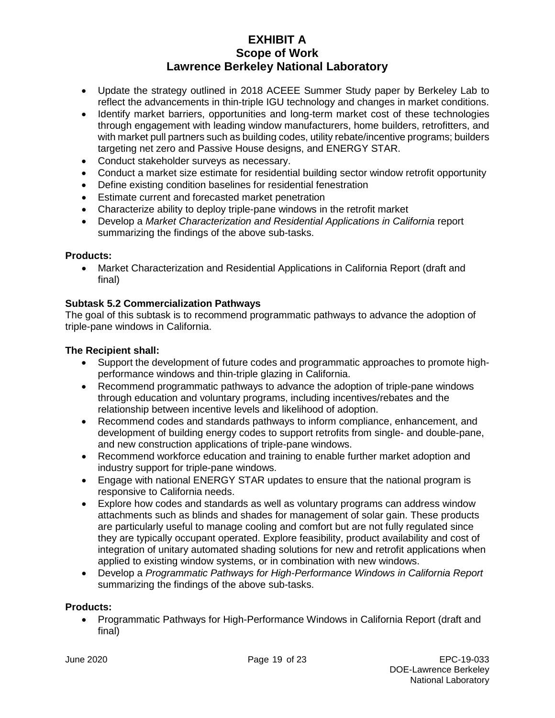- Update the strategy outlined in 2018 ACEEE Summer Study paper by Berkeley Lab to reflect the advancements in thin-triple IGU technology and changes in market conditions.
- Identify market barriers, opportunities and long-term market cost of these technologies through engagement with leading window manufacturers, home builders, retrofitters, and with market pull partners such as building codes, utility rebate/incentive programs; builders targeting net zero and Passive House designs, and ENERGY STAR.
- Conduct stakeholder surveys as necessary.
- Conduct a market size estimate for residential building sector window retrofit opportunity
- Define existing condition baselines for residential fenestration
- Estimate current and forecasted market penetration
- Characterize ability to deploy triple-pane windows in the retrofit market
- Develop a *Market Characterization and Residential Applications in California* report summarizing the findings of the above sub-tasks.

## **Products:**

• Market Characterization and Residential Applications in California Report (draft and final)

## **Subtask 5.2 Commercialization Pathways**

The goal of this subtask is to recommend programmatic pathways to advance the adoption of triple-pane windows in California.

## **The Recipient shall:**

- Support the development of future codes and programmatic approaches to promote highperformance windows and thin-triple glazing in California.
- Recommend programmatic pathways to advance the adoption of triple-pane windows through education and voluntary programs, including incentives/rebates and the relationship between incentive levels and likelihood of adoption.
- Recommend codes and standards pathways to inform compliance, enhancement, and development of building energy codes to support retrofits from single- and double-pane, and new construction applications of triple-pane windows.
- Recommend workforce education and training to enable further market adoption and industry support for triple-pane windows.
- Engage with national ENERGY STAR updates to ensure that the national program is responsive to California needs.
- Explore how codes and standards as well as voluntary programs can address window attachments such as blinds and shades for management of solar gain. These products are particularly useful to manage cooling and comfort but are not fully regulated since they are typically occupant operated. Explore feasibility, product availability and cost of integration of unitary automated shading solutions for new and retrofit applications when applied to existing window systems, or in combination with new windows.
- Develop a *Programmatic Pathways for High-Performance Windows in California Report* summarizing the findings of the above sub-tasks.

#### **Products:**

• Programmatic Pathways for High-Performance Windows in California Report (draft and final)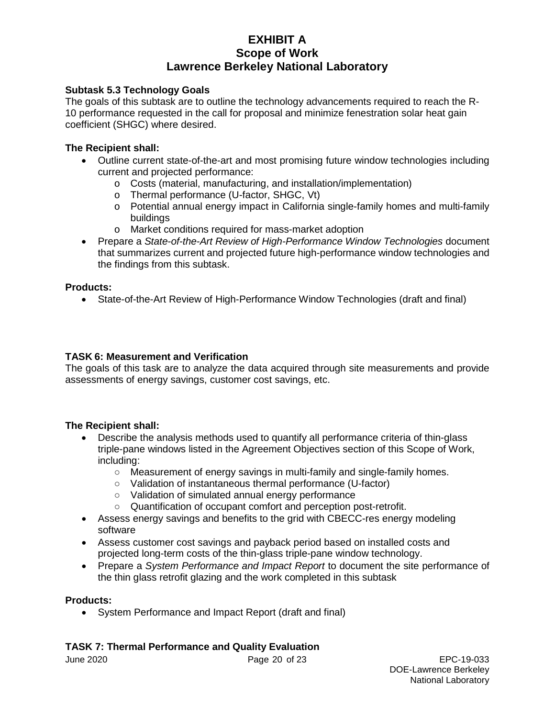## **Subtask 5.3 Technology Goals**

The goals of this subtask are to outline the technology advancements required to reach the R-10 performance requested in the call for proposal and minimize fenestration solar heat gain coefficient (SHGC) where desired.

## **The Recipient shall:**

- Outline current state-of-the-art and most promising future window technologies including current and projected performance:
	- o Costs (material, manufacturing, and installation/implementation)
	- o Thermal performance (U-factor, SHGC, Vt)
	- o Potential annual energy impact in California single-family homes and multi-family buildings
	- o Market conditions required for mass-market adoption
- Prepare a *State-of-the-Art Review of High-Performance Window Technologies* document that summarizes current and projected future high-performance window technologies and the findings from this subtask.

## **Products:**

• State-of-the-Art Review of High-Performance Window Technologies (draft and final)

## **TASK 6: Measurement and Verification**

The goals of this task are to analyze the data acquired through site measurements and provide assessments of energy savings, customer cost savings, etc.

## **The Recipient shall:**

- Describe the analysis methods used to quantify all performance criteria of thin-glass triple-pane windows listed in the Agreement Objectives section of this Scope of Work, including:
	- Measurement of energy savings in multi-family and single-family homes.
	- Validation of instantaneous thermal performance (U-factor)
	- Validation of simulated annual energy performance
	- Quantification of occupant comfort and perception post-retrofit.
- Assess energy savings and benefits to the grid with CBECC-res energy modeling software
- Assess customer cost savings and payback period based on installed costs and projected long-term costs of the thin-glass triple-pane window technology.
- Prepare a *System Performance and Impact Report* to document the site performance of the thin glass retrofit glazing and the work completed in this subtask

## **Products:**

• System Performance and Impact Report (draft and final)

## **TASK 7: Thermal Performance and Quality Evaluation**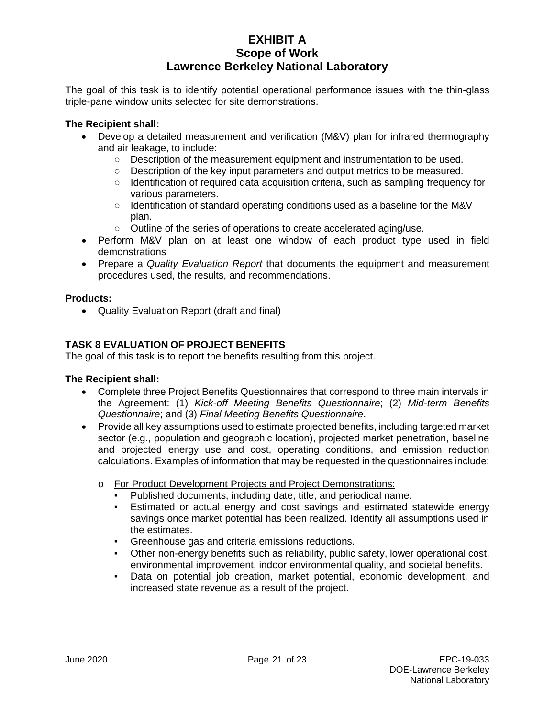The goal of this task is to identify potential operational performance issues with the thin-glass triple-pane window units selected for site demonstrations.

## **The Recipient shall:**

- Develop a detailed measurement and verification (M&V) plan for infrared thermography and air leakage, to include:
	- Description of the measurement equipment and instrumentation to be used.
	- Description of the key input parameters and output metrics to be measured.
	- Identification of required data acquisition criteria, such as sampling frequency for various parameters.
	- Identification of standard operating conditions used as a baseline for the M&V plan.
	- Outline of the series of operations to create accelerated aging/use.
- Perform M&V plan on at least one window of each product type used in field demonstrations
- Prepare a *Quality Evaluation Report* that documents the equipment and measurement procedures used, the results, and recommendations.

## **Products:**

• Quality Evaluation Report (draft and final)

## **TASK 8 EVALUATION OF PROJECT BENEFITS**

The goal of this task is to report the benefits resulting from this project.

- Complete three Project Benefits Questionnaires that correspond to three main intervals in the Agreement: (1) *Kick-off Meeting Benefits Questionnaire*; (2) *Mid-term Benefits Questionnaire*; and (3) *Final Meeting Benefits Questionnaire*.
- Provide all key assumptions used to estimate projected benefits, including targeted market sector (e.g., population and geographic location), projected market penetration, baseline and projected energy use and cost, operating conditions, and emission reduction calculations. Examples of information that may be requested in the questionnaires include:
	- o For Product Development Projects and Project Demonstrations:
		- Published documents, including date, title, and periodical name.
		- Estimated or actual energy and cost savings and estimated statewide energy savings once market potential has been realized. Identify all assumptions used in the estimates.
		- Greenhouse gas and criteria emissions reductions.
		- Other non-energy benefits such as reliability, public safety, lower operational cost, environmental improvement, indoor environmental quality, and societal benefits.
		- Data on potential job creation, market potential, economic development, and increased state revenue as a result of the project.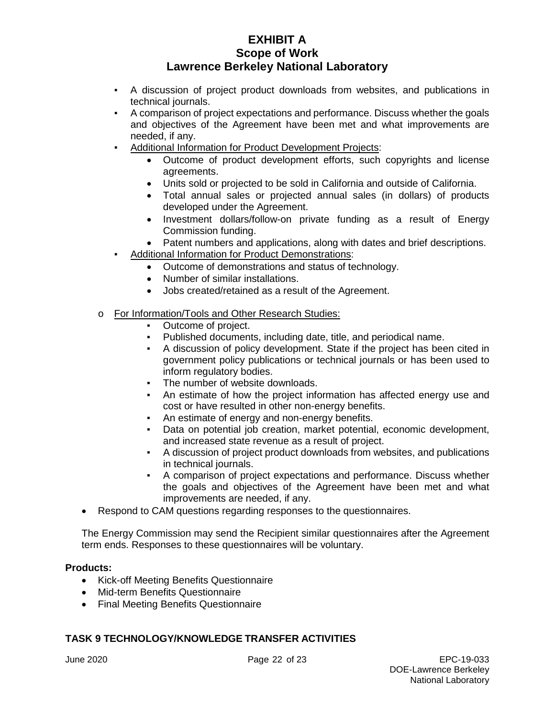- A discussion of project product downloads from websites, and publications in technical journals.
- A comparison of project expectations and performance. Discuss whether the goals and objectives of the Agreement have been met and what improvements are needed, if any.
- Additional Information for Product Development Projects:
	- Outcome of product development efforts, such copyrights and license agreements.
	- Units sold or projected to be sold in California and outside of California.
	- Total annual sales or projected annual sales (in dollars) of products developed under the Agreement.
	- Investment dollars/follow-on private funding as a result of Energy Commission funding.
	- Patent numbers and applications, along with dates and brief descriptions.
- **Additional Information for Product Demonstrations:** 
	- Outcome of demonstrations and status of technology.
	- Number of similar installations.
	- Jobs created/retained as a result of the Agreement.
- o For Information/Tools and Other Research Studies:
	- Outcome of project.
	- Published documents, including date, title, and periodical name.
	- A discussion of policy development. State if the project has been cited in government policy publications or technical journals or has been used to inform regulatory bodies.
	- The number of website downloads.
	- An estimate of how the project information has affected energy use and cost or have resulted in other non-energy benefits.
	- An estimate of energy and non-energy benefits.
	- Data on potential job creation, market potential, economic development, and increased state revenue as a result of project.
	- A discussion of project product downloads from websites, and publications in technical journals.
	- A comparison of project expectations and performance. Discuss whether the goals and objectives of the Agreement have been met and what improvements are needed, if any.
- Respond to CAM questions regarding responses to the questionnaires.

The Energy Commission may send the Recipient similar questionnaires after the Agreement term ends. Responses to these questionnaires will be voluntary.

#### **Products:**

- Kick-off Meeting Benefits Questionnaire
- Mid-term Benefits Questionnaire
- Final Meeting Benefits Questionnaire

## **TASK 9 TECHNOLOGY/KNOWLEDGE TRANSFER ACTIVITIES**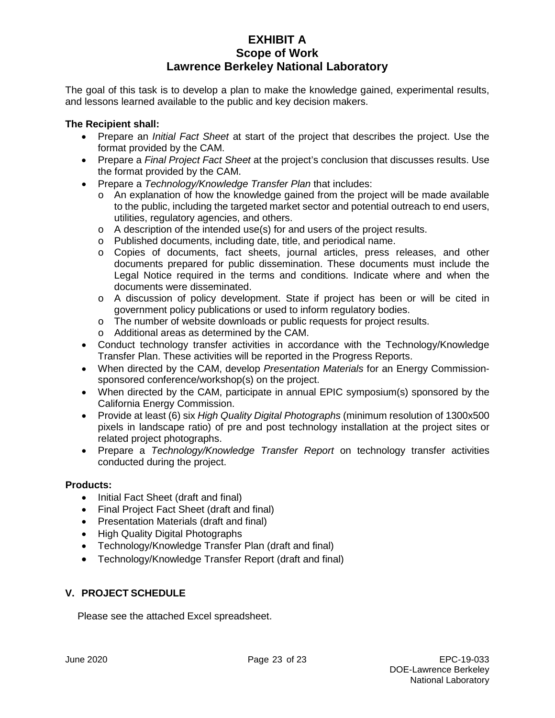The goal of this task is to develop a plan to make the knowledge gained, experimental results, and lessons learned available to the public and key decision makers.

## **The Recipient shall:**

- Prepare an *Initial Fact Sheet* at start of the project that describes the project. Use the format provided by the CAM.
- Prepare a *Final Project Fact Sheet* at the project's conclusion that discusses results. Use the format provided by the CAM.
- Prepare a *Technology/Knowledge Transfer Plan* that includes:
	- $\circ$  An explanation of how the knowledge gained from the project will be made available to the public, including the targeted market sector and potential outreach to end users, utilities, regulatory agencies, and others.
	- o A description of the intended use(s) for and users of the project results.
	- o Published documents, including date, title, and periodical name.
	- o Copies of documents, fact sheets, journal articles, press releases, and other documents prepared for public dissemination. These documents must include the Legal Notice required in the terms and conditions. Indicate where and when the documents were disseminated.
	- o A discussion of policy development. State if project has been or will be cited in government policy publications or used to inform regulatory bodies.
	- o The number of website downloads or public requests for project results.
	- o Additional areas as determined by the CAM.
- Conduct technology transfer activities in accordance with the Technology/Knowledge Transfer Plan. These activities will be reported in the Progress Reports.
- When directed by the CAM, develop *Presentation Materials* for an Energy Commissionsponsored conference/workshop(s) on the project.
- When directed by the CAM, participate in annual EPIC symposium(s) sponsored by the California Energy Commission.
- Provide at least (6) six *High Quality Digital Photographs* (minimum resolution of 1300x500 pixels in landscape ratio) of pre and post technology installation at the project sites or related project photographs.
- Prepare a *Technology/Knowledge Transfer Report* on technology transfer activities conducted during the project.

## **Products:**

- Initial Fact Sheet (draft and final)
- Final Project Fact Sheet (draft and final)
- Presentation Materials (draft and final)
- High Quality Digital Photographs
- Technology/Knowledge Transfer Plan (draft and final)
- Technology/Knowledge Transfer Report (draft and final)

## **V. PROJECT SCHEDULE**

Please see the attached Excel spreadsheet.